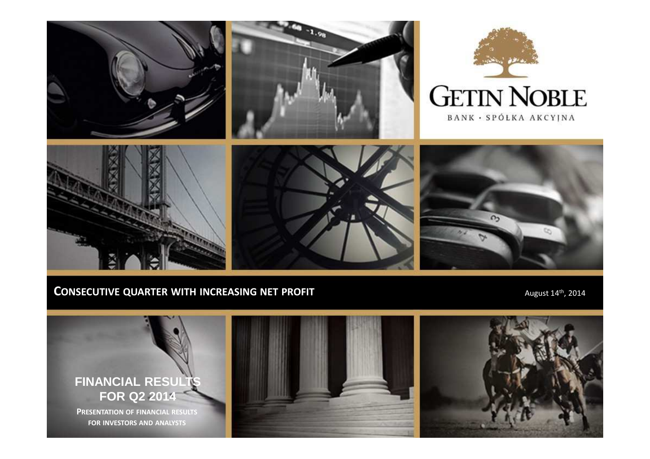

## **CONSECUTIVE QUARTER WITH INCREASING NET PROFIT <b>AUGUST 14th**, 2014

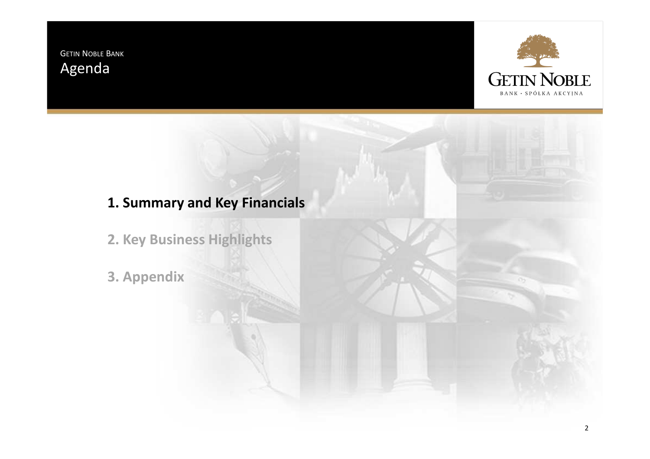GETIN <sup>N</sup>OBLE <sup>B</sup>ANK Agenda



# **1. Summary and Key Financials**

- **2. Key Business Highlights**
- **3. Appendix**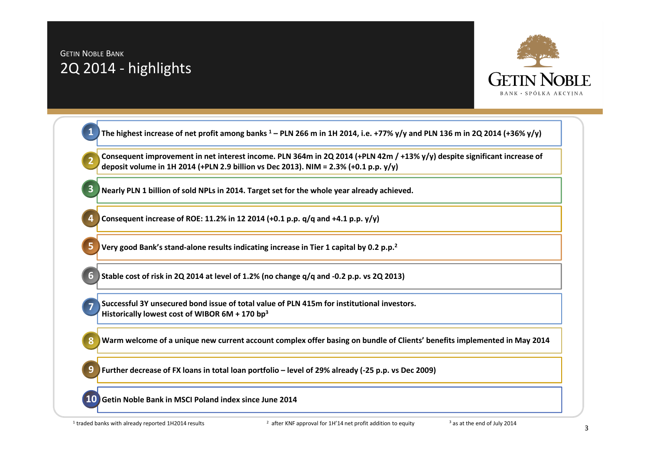# GETIN <sup>N</sup>OBLE <sup>B</sup>ANK 2Q 2014 - highlights



|   | Consequent improvement in net interest income. PLN 364m in 2Q 2014 (+PLN 42m / +13% y/y) despite significant increase of<br>deposit volume in 1H 2014 (+PLN 2.9 billion vs Dec 2013). NIM = 2.3% (+0.1 p.p. y/y) |
|---|------------------------------------------------------------------------------------------------------------------------------------------------------------------------------------------------------------------|
|   | Nearly PLN 1 billion of sold NPLs in 2014. Target set for the whole year already achieved.                                                                                                                       |
|   | Consequent increase of ROE: 11.2% in 12 2014 (+0.1 p.p. q/q and +4.1 p.p. y/y)                                                                                                                                   |
|   | Very good Bank's stand-alone results indicating increase in Tier 1 capital by 0.2 p.p. <sup>2</sup>                                                                                                              |
|   | Stable cost of risk in 2Q 2014 at level of 1.2% (no change q/q and -0.2 p.p. vs 2Q 2013)                                                                                                                         |
|   | Successful 3Y unsecured bond issue of total value of PLN 415m for institutional investors.<br>Historically lowest cost of WIBOR $6M + 170$ bp <sup>3</sup>                                                       |
| 8 | Warm welcome of a unique new current account complex offer basing on bundle of Clients' benefits implemented in May 2014                                                                                         |
|   | Further decrease of FX loans in total loan portfolio - level of 29% already (-25 p.p. vs Dec 2009)                                                                                                               |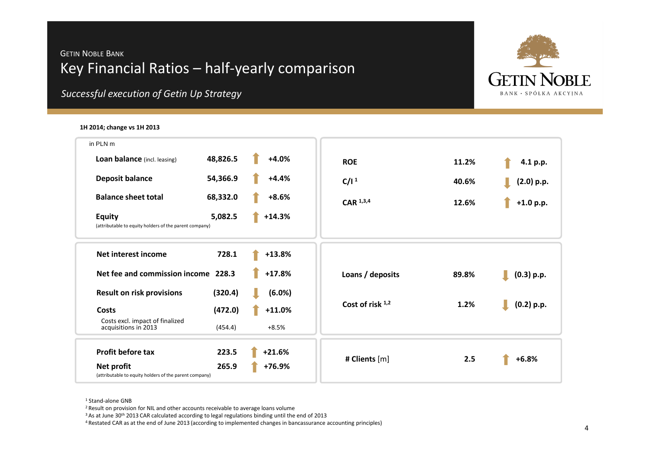## GETIN <sup>N</sup>OBLE <sup>B</sup>ANK Key Financial Ratios – half-yearly comparison



*Successful execution of Getin Up Strategy*

### **1H 2014; change vs 1H <sup>2013</sup>**

| in PLN m                                                                           |          |                    |       |              |
|------------------------------------------------------------------------------------|----------|--------------------|-------|--------------|
| 48,826.5<br><b>Loan balance</b> (incl. leasing)                                    | $+4.0%$  | <b>ROE</b>         | 11.2% | 4.1 p.p.     |
| <b>Deposit balance</b><br>54,366.9                                                 | $+4.4%$  | C/I <sup>1</sup>   | 40.6% | $(2.0)$ p.p. |
| <b>Balance sheet total</b><br>68,332.0                                             | $+8.6%$  | $CAR$ $1,3,4$      | 12.6% | $+1.0 p.p.$  |
| 5,082.5<br><b>Equity</b><br>(attributable to equity holders of the parent company) | $+14.3%$ |                    |       |              |
| <b>Net interest income</b><br>728.1                                                | $+13.8%$ |                    |       |              |
| Net fee and commission income 228.3                                                | $+17.8%$ | Loans / deposits   | 89.8% | (0.3) p.p.   |
| <b>Result on risk provisions</b><br>(320.4)                                        | (6.0%)   |                    |       |              |
| (472.0)<br>Costs                                                                   | $+11.0%$ | Cost of risk $1,2$ | 1.2%  | $(0.2)$ p.p. |
| Costs excl. impact of finalized<br>acquisitions in 2013<br>(454.4)                 | $+8.5%$  |                    |       |              |
| <b>Profit before tax</b><br>223.5                                                  | $+21.6%$ |                    |       |              |
| 265.9<br>Net profit<br>(attributable to equity holders of the parent company)      | +76.9%   | # Clients [m]      | 2.5   | $+6.8%$      |
|                                                                                    |          |                    |       |              |

<sup>1</sup> Stand-alone GNB

<sup>&</sup>lt;sup>2</sup> Result on provision for NIL and other accounts receivable to average loans volume

 $3$  As at June 30<sup>th</sup> 2013 CAR calculated according to legal regulations binding until the end of 2013

4 Restated CAR as at the end of June 2013 (according to implemented changes in bancassurance accounting principles)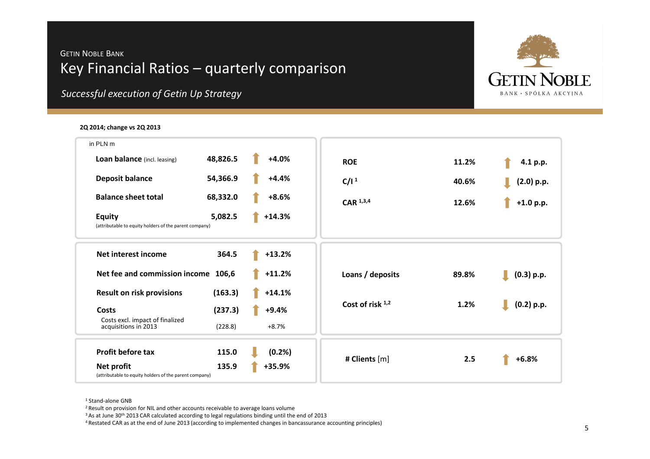## GETIN <sup>N</sup>OBLE <sup>B</sup>ANK Key Financial Ratios – quarterly comparison



*Successful execution of Getin Up Strategy*

### **2Q 2014; change vs 2Q 2013**

| in PLN m                                                                |          |          |                    |       |              |
|-------------------------------------------------------------------------|----------|----------|--------------------|-------|--------------|
| Loan balance (incl. leasing)                                            | 48,826.5 | $+4.0%$  | <b>ROE</b>         | 11.2% | 4.1 p.p.     |
| <b>Deposit balance</b>                                                  | 54,366.9 | $+4.4%$  | C/I <sup>1</sup>   | 40.6% | $(2.0)$ p.p. |
| <b>Balance sheet total</b>                                              | 68,332.0 | $+8.6%$  | CAR 1,3,4          | 12.6% | $+1.0 p.p.$  |
| <b>Equity</b><br>(attributable to equity holders of the parent company) | 5,082.5  | $+14.3%$ |                    |       |              |
| Net interest income                                                     | 364.5    | $+13.2%$ |                    |       |              |
| Net fee and commission income 106,6                                     |          | $+11.2%$ | Loans / deposits   | 89.8% | $(0.3)$ p.p. |
| <b>Result on risk provisions</b>                                        | (163.3)  | $+14.1%$ |                    |       |              |
| Costs                                                                   | (237.3)  | $+9.4%$  | Cost of risk $1,2$ | 1.2%  | $(0.2)$ p.p. |
| Costs excl. impact of finalized<br>acquisitions in 2013                 | (228.8)  | $+8.7%$  |                    |       |              |
| <b>Profit before tax</b>                                                | 115.0    | (0.2% )  |                    |       |              |
| Net profit<br>(attributable to equity holders of the parent company)    | 135.9    | +35.9%   | # Clients [m]      | 2.5   | $+6.8%$      |
|                                                                         |          |          |                    |       |              |

<sup>1</sup> Stand-alone GNB

<sup>&</sup>lt;sup>2</sup> Result on provision for NIL and other accounts receivable to average loans volume

 $3$  As at June 30<sup>th</sup> 2013 CAR calculated according to legal regulations binding until the end of 2013

4 Restated CAR as at the end of June 2013 (according to implemented changes in bancassurance accounting principles)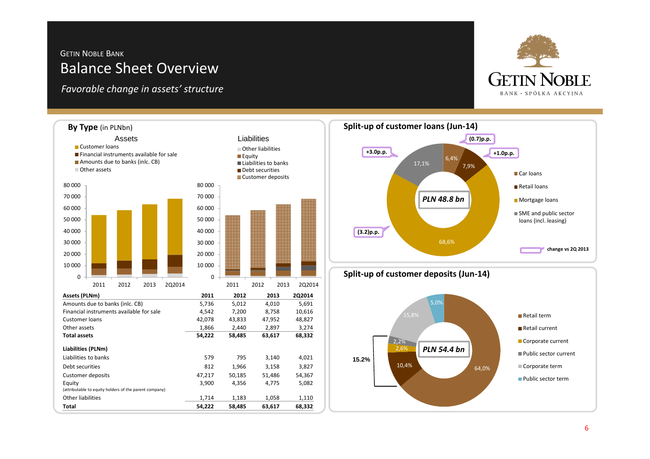## GETIN <sup>N</sup>OBLE <sup>B</sup>ANK Balance Sheet Overview

*Favorable change in assets' structure*



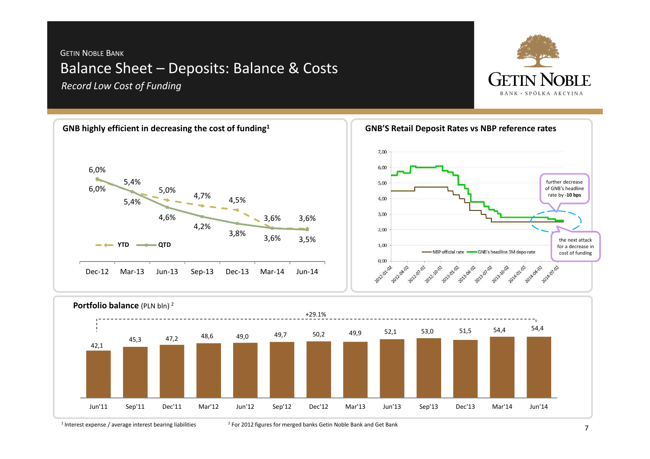## GETIN <sup>N</sup>OBLE <sup>B</sup>ANK Balance Sheet – Deposits: Balance & Costs *Record Low Cost of Funding*









 $1$  Interest expense / average interest bearing liabilities

<sup>2</sup> For 2012 figures for merged banks Getin Noble Bank and Get Bank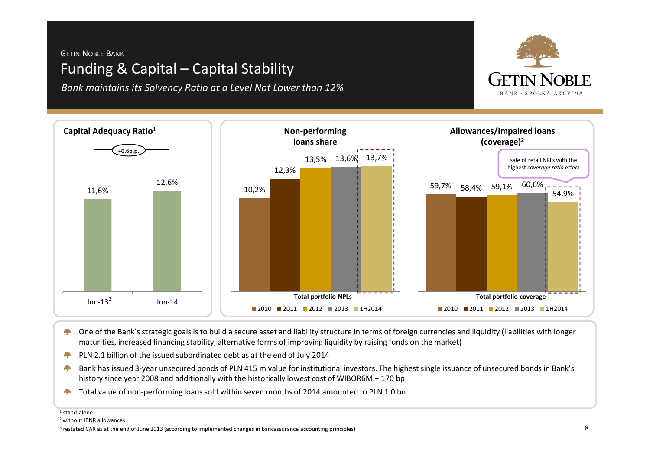## GETIN <sup>N</sup>OBLE <sup>B</sup>ANK Funding & Capital – Capital Stability

*Bank maintains its Solvency Ratio at a Level Not Lower than 12%*



- One of the Bank's strategic goals is to build a secure asset and liability structure in terms of foreign currencies and liquidity (liabilities with longer a pro maturities, increased financing stability, alternative forms of improving liquidity by raising funds on the market)
- PLN 2.1 billion of the issued subordinated debt as at the end of July 2014**September**
- Bank has issued 3-year unsecured bonds of PLN 415 m value for institutional investors. The highest single issuance of unsecured bonds in Bank's **All Color** history since year 2008 and additionally with the historically lowest cost of WIBOR6M + 170 bp
- Total value of non-performing loans sold within seven months of 2014 amounted to PLN 1.0 bnA.

<sup>1</sup> stand-alone

<sup>2</sup> without IBNR allowances



<sup>&</sup>lt;sup>3</sup> restated CAR as at the end of June 2013 (according to implemented changes in bancassurance accounting principles)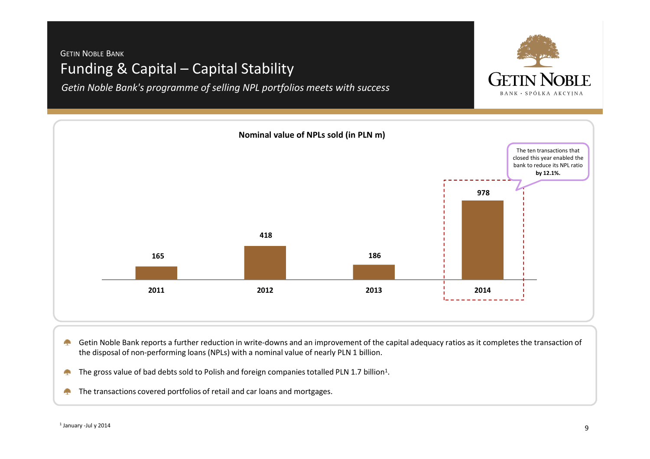## GETIN <sup>N</sup>OBLE <sup>B</sup>ANK Funding & Capital – Capital Stability

*Getin Noble Bank's programme of selling NPL portfolios meets with success*





- Getin Noble Bank reports a further reduction in write-downs and an improvement of the capital adequacy ratios as it completes the transaction of **Contract** the disposal of non-performing loans (NPLs) with a nominal value of nearly PLN 1 billion.
- The gross value of bad debts sold to Polish and foreign companies totalled PLN 1.7 billion<sup>1</sup>. **September**
- The transactions covered portfolios of retail and car loans and mortgages.**Alex**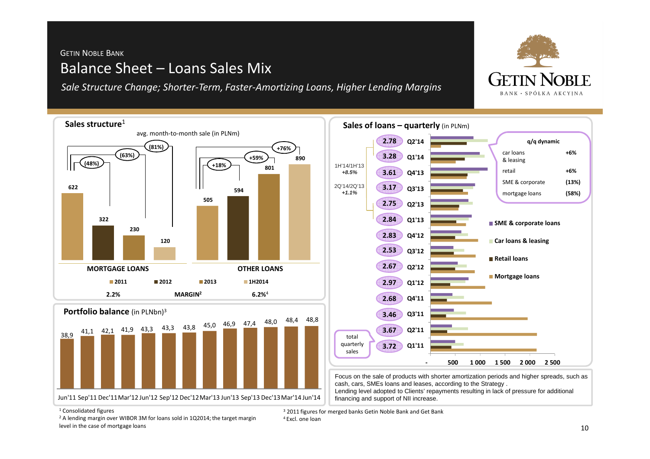# GETIN <sup>N</sup>OBLE <sup>B</sup>ANK Balance Sheet – Loans Sales Mix

*Sale Structure Change; Shorter-Term, Faster-Amortizing Loans, Higher Lending Margins* 



<sup>1</sup> Consolidated figures

 $2$  A lending margin over WIBOR 3M for loans sold in 1Q2014; the target margin level in the case of mortgage loans

<sup>3</sup> 2011 figures for merged banks Getin Noble Bank and Get Bank

4 Excl. one loan

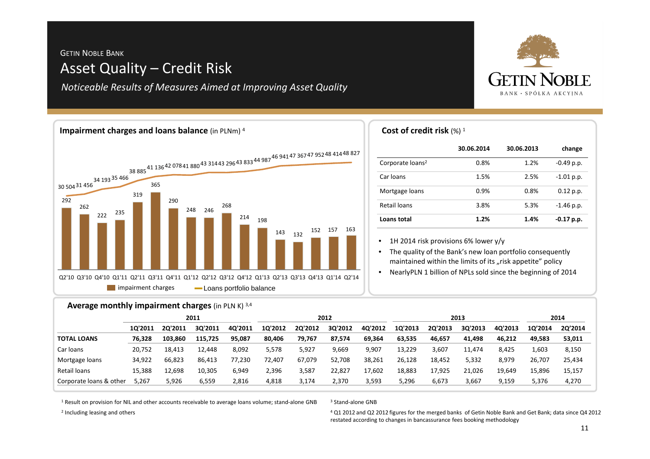## GETIN <sup>N</sup>OBLE <sup>B</sup>ANK Asset Quality – Credit Risk

*Noticeable Results of Measures Aimed at Improving Asset Quality*





| Cost of credit risk $(\%)$ <sup>1</sup> |  |  |
|-----------------------------------------|--|--|
|-----------------------------------------|--|--|

|                              | 30.06.2014 | 30.06.2013 | change       |
|------------------------------|------------|------------|--------------|
| Corporate loans <sup>2</sup> | 0.8%       | 1.2%       | $-0.49$ p.p. |
| Car loans                    | 1.5%       | 2.5%       | $-1.01$ p.p. |
| Mortgage loans               | 0.9%       | 0.8%       | $0.12$ p.p.  |
| Retail loans                 | 3.8%       | 5.3%       | $-1.46$ p.p. |
| Loans total                  | 1.2%       | 1.4%       | $-0.17$ p.p. |

• 1H 2014 risk provisions 6% lower y/y

 The quality of the Bank's new loan portfolio consequently •maintained within the limits of its "risk appetite" policy

 NearlyPLN 1 billion of NPLs sold since the beginning of 2014•

## **Average monthly impairment charges** (in PLN K) 3,4

|                         | 2011    |         |         | 2012    |         |         | 2013    |         |         | 2014    |         |         |         |         |
|-------------------------|---------|---------|---------|---------|---------|---------|---------|---------|---------|---------|---------|---------|---------|---------|
|                         | 10'2011 | 20'2011 | 30'2011 | 40'2011 | 10'2012 | 20'2012 | 3Q'2012 | 40'2012 | 1Q'2013 | 20'2013 | 30'2013 | 40'2013 | 10'2014 | 20'2014 |
| <b>TOTAL LOANS</b>      | 76.328  | 103.860 | 115,725 | 95.087  | 80,406  | 79,767  | 87,574  | 69,364  | 63,535  | 46,657  | 41,498  | 46.212  | 49.583  | 53,011  |
| Car loans               | 20.752  | 18.413  | 12.448  | 8,092   | 5,578   | 5,927   | 9,669   | 9,907   | 13,229  | 3,607   | 11.474  | 8,425   | 1,603   | 8,150   |
| Mortgage loans          | 34,922  | 66.823  | 86,413  | 77,230  | 72.407  | 67,079  | 52,708  | 38,261  | 26,128  | 18,452  | 5,332   | 8,979   | 26.707  | 25,434  |
| Retail loans            | 15.388  | 12,698  | 10.305  | 6,949   | 2,396   | 3,587   | 22,827  | 17,602  | 18,883  | 17,925  | 21,026  | 19,649  | 15.896  | 15,157  |
| Corporate loans & other | 5,267   | 5,926   | 6,559   | 2,816   | 4,818   | 3,174   | 2,370   | 3,593   | 5,296   | 6,673   | 3,667   | 9,159   | 5,376   | 4,270   |

 $^{\rm 1}$  Result on provision for NIL and other accounts receivable to average loans volume; stand-alone GNB

#### 3 Stand-alone GNB

 $^4$  Q1 2012 and Q2 2012 figures for the merged banks of Getin Noble Bank and Get Bank; data since Q4 2012 restated according to changes in bancassurance fees booking methodology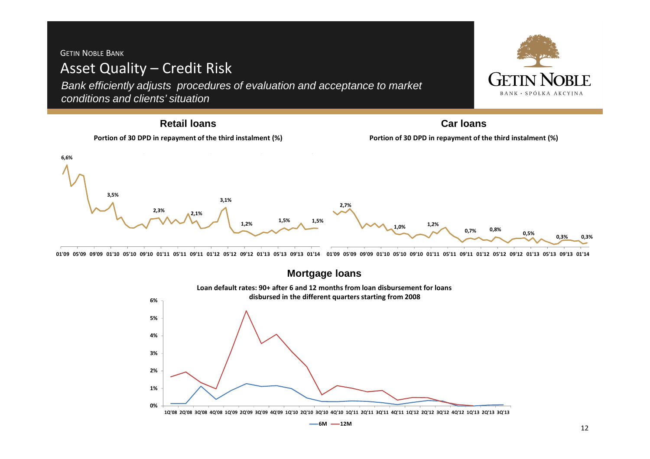## GETIN <sup>N</sup>OBLE <sup>B</sup>ANK Asset Quality – Credit Risk

**0%**

**1%**

**2%**

**3%**

**4%**

**5%**

**6%**

Bank efficiently adjusts procedures of evaluation and acceptance to market conditions and clients' situation



01'09 05'09 09'09 01'10 05'10 09'10 01'11 05'11 09'11 01'12 05'12 09'12 01'13 05'13 09'13 01'14 01'09 05'09 09'09 01'10 05'10 09'10 01'11 05'11 09'11 01'12 05'12 09'12 01'13 05'13 09'13 01'14



10'08 20'08 30'08 40'08 10'09 20'09 30'09 40'09 10'10 20'10 30'10 40'10 10'11 20'11 30'11 40'11 10'12 20'12 30'12 40'12 10'13 20'13 30'13

**6M 12M**

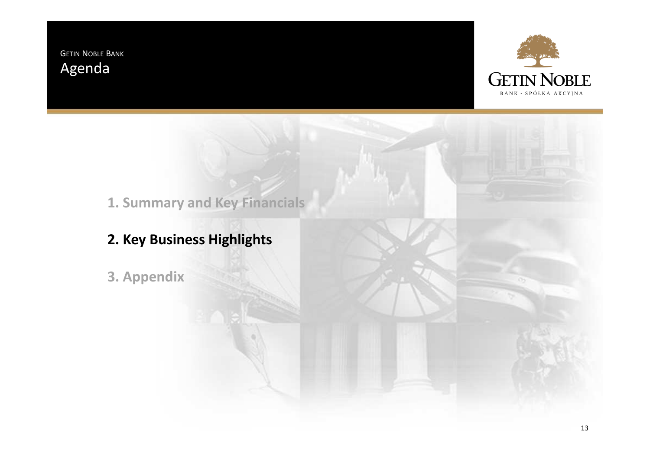GETIN <sup>N</sup>OBLE <sup>B</sup>ANK Agenda



**1. Summary and Key Financials**

**2. Key Business Highlights**

**3. Appendix**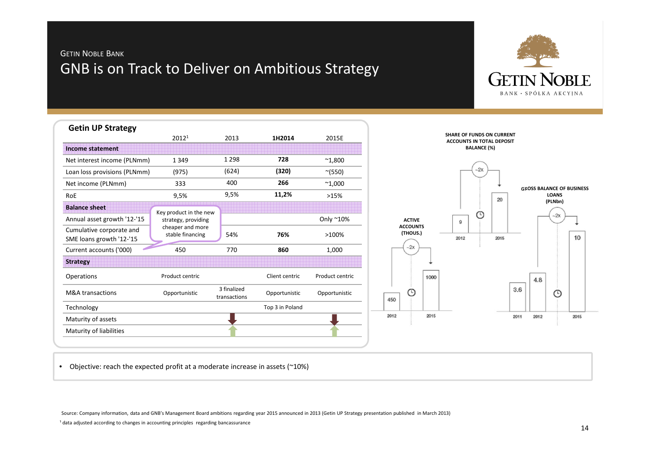## GETIN <sup>N</sup>OBLE <sup>B</sup>ANK GNB is on Track to Deliver on Ambitious Strategy



| <b>Getin UP Strategy</b>     |                                      |                             |                 |                 |
|------------------------------|--------------------------------------|-----------------------------|-----------------|-----------------|
|                              | 2012 <sup>1</sup>                    | 2013                        | 1H2014          | 2015E           |
| <b>Income statement</b>      |                                      |                             |                 |                 |
| Net interest income (PLNmm)  | 1 3 4 9                              | 1 2 9 8                     | 728             | $^{\sim}1,800$  |
| Loan loss provisions (PLNmm) | (975)                                | (624)                       | (320)           | $^{\sim}$ (550) |
| Net income (PLNmm)           | 333                                  | 400                         | 266             | $^{\sim}$ 1,000 |
| RoE                          | 9,5%                                 | 9,5%                        | 11,2%           | >15%            |
| <b>Balance sheet</b>         | Key product in the new               |                             |                 |                 |
| Annual asset growth '12-'15  | strategy, providing                  |                             |                 | Only ~10%       |
| Cumulative corporate and     | cheaper and more<br>stable financing | 54%                         | 76%             | >100%           |
| SME loans growth '12-'15     |                                      |                             |                 |                 |
| Current accounts ('000)      | 450                                  | 770                         | 860             | 1,000           |
| <b>Strategy</b>              |                                      |                             |                 |                 |
| <b>Operations</b>            | Product centric                      |                             | Client centric  | Product centric |
| <b>M&amp;A</b> transactions  | Opportunistic                        | 3 finalized<br>transactions | Opportunistic   | Opportunistic   |
| Technology                   |                                      |                             | Top 3 in Poland |                 |
| Maturity of assets           |                                      |                             |                 |                 |
| Maturity of liabilities      |                                      |                             |                 |                 |

• Objective: reach the expected profit at a moderate increase in assets (~10%)

Source: Company information, data and GNB's Management Board ambitions regarding year 2015 announced in 2013 (Getin UP Strategy presentation published in March 2013)

<sup>1</sup> data adjusted according to changes in accounting principles regarding bancassurance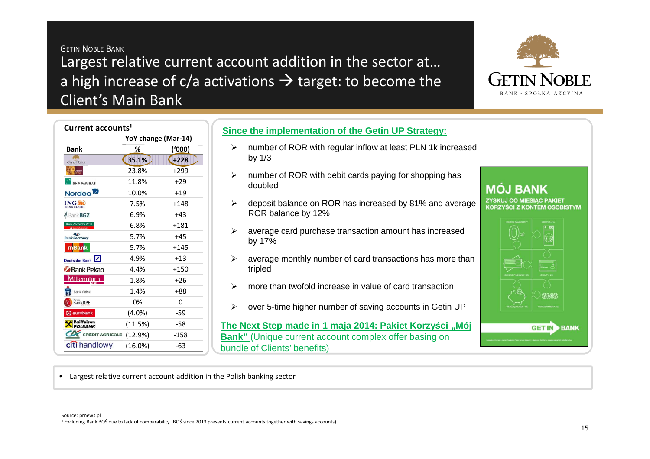GETIN <sup>N</sup>OBLE <sup>B</sup>ANK Largest relative current account addition in the sector at…a high increase of c/a activations  $\rightarrow$  target: to become the<br>Client's Main Bank Client's Main Bank



| Current accounts <sup>1</sup>           |            |                     |  |  |  |  |  |  |
|-----------------------------------------|------------|---------------------|--|--|--|--|--|--|
|                                         |            | YoY change (Mar-14) |  |  |  |  |  |  |
| <b>Bank</b>                             | %          | (000)               |  |  |  |  |  |  |
| <b>GETIN NOBLE</b>                      | 35.1%      | $+228$              |  |  |  |  |  |  |
| <b>ALIOR</b>                            | 23.8%      | +299                |  |  |  |  |  |  |
| <b>BNP PARIBAS</b>                      | 11.8%      | $+29$               |  |  |  |  |  |  |
| Nordeo <sup>2</sup>                     | 10.0%      | $+19$               |  |  |  |  |  |  |
| <b>ING BANK SLASKI</b>                  | 7.5%       | $+148$              |  |  |  |  |  |  |
| <b>Bank BGZ</b>                         | 6.9%       | $+43$               |  |  |  |  |  |  |
| <b>Bank Zachodni WBK</b>                | 6.8%       | +181                |  |  |  |  |  |  |
| $\triangleleft$<br><b>Bank Pocztowy</b> | 5.7%       | $+45$               |  |  |  |  |  |  |
| <b>mBank</b>                            | 5.7%       | $+145$              |  |  |  |  |  |  |
| Deutsche Bank                           | 4.9%       | $+13$               |  |  |  |  |  |  |
| Bank Pekao                              | 4.4%       | $+150$              |  |  |  |  |  |  |
| Millennium                              | 1.8%       | +26                 |  |  |  |  |  |  |
| <b>Bank Polski</b>                      | 1.4%       | +88                 |  |  |  |  |  |  |
| Bank BPH                                | 0%         | 0                   |  |  |  |  |  |  |
| <b>Q</b> eurobank                       | $(4.0\%)$  | -59                 |  |  |  |  |  |  |
| Raiffeisen<br>POLBANK                   | (11.5%)    | -58                 |  |  |  |  |  |  |
| <b>CRÉDIT AGRICOLE</b>                  | (12.9%)    | -158                |  |  |  |  |  |  |
| citi handlowy                           | $(16.0\%)$ | -63                 |  |  |  |  |  |  |

## **Since the implementation of the Getin UP Strategy:**

- > number of ROR with regular inflow at least PLN 1k increased<br>http://2 by 1/3
- $\blacktriangleright$  number of ROR with debit cards paying for shopping has doubled
- > deposit balance on ROR has increased by 81% and average<br>ROB halance by 13% ROR balance by 12%
- $\blacktriangleright$  average card purchase transaction amount has increased by 17%
- $\blacktriangleright$  average monthly number of card transactions has more than tripled
- $\triangleright$ more than twofold increase in value of card transaction
- $\blacktriangleright$ over 5-time higher number of saving accounts in Getin UP

**The Next Step made in 1 maja 2014: Pakiet Korzyści "Mój Bank"** (Unique current account complex offer basing on bundle of Clients' benefits)

**ZYSKUJ CO MIESIAC PAKIET KORZYŚCI Z KONTEM OSOBISTYM** 

**MÔJ BANK** 

**GET IN BANK** 

• Largest relative current account addition in the Polish banking sector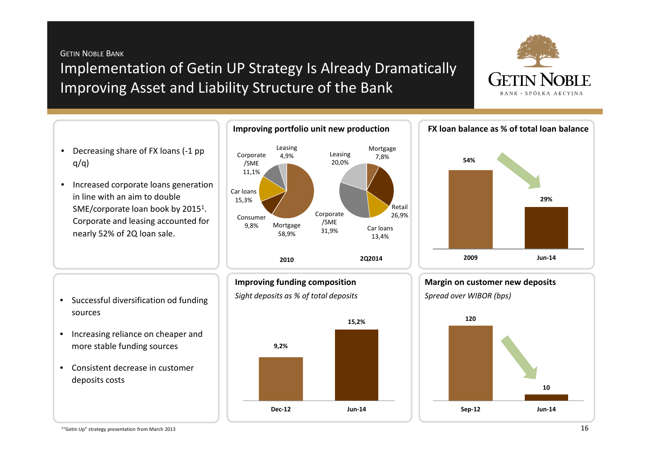GETIN <sup>N</sup>OBLE <sup>B</sup>ANK Implementation of Getin UP Strategy Is Already Dramatically Improving Asset and Liability Structure of the Bank



- Decreasing share of FX loans (-1 pp  $q/q$ )
- Increased corporate loans generation in line with an aim to double SME/corporate loan book by 2015<sup>1</sup>. Corporate and leasing accounted for nearly 52% of 2Q loan sale.







- Increasing reliance on cheaper and more stable funding sources
- Consistent decrease in customer deposits costs







**Margin on customer new deposits**



1"Getin Up" strategy presentation from March 2013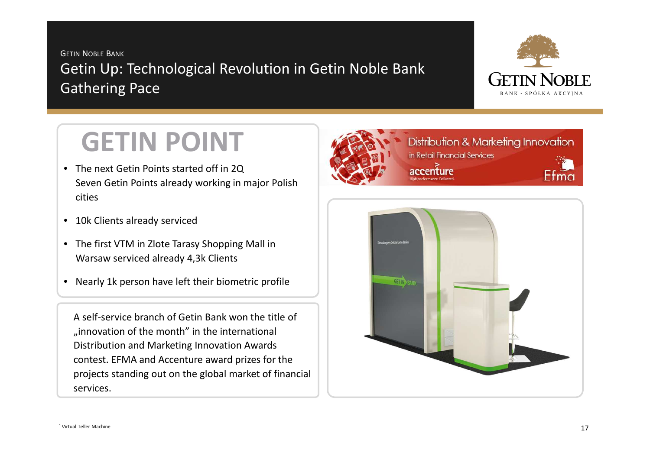GETIN <sup>N</sup>OBLE <sup>B</sup>ANK Getin Up: Technological Revolution in Getin Noble Bank Gathering Pace



# **GETIN POINT**

- The next Getin Points started off in 2Q Seven Getin Points already working in major Polish cities
- 10k Clients already serviced
- The first VTM in Zlote Tarasy Shopping Mall in Warsaw serviced already 4,3k Clients
- Nearly 1k person have left their biometric profile

A self-service branch of Getin Bank won the title of "innovation of the month" in the international Distribution and Marketing Innovation Awards contest. EFMA and Accenture award prizes for the projects standing out on the global market of financial services.



Distribution & Marketing Innovation in Retail Financial Services



centure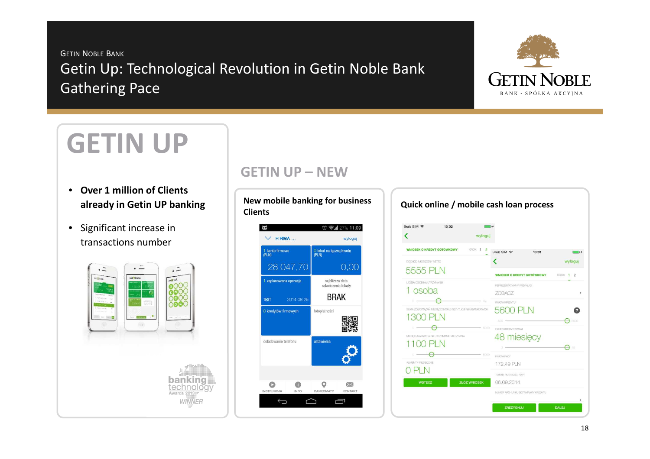GETIN <sup>N</sup>OBLE <sup>B</sup>ANK Getin Up: Technological Revolution in Getin Noble Bank Gathering Pace



# **GETIN UP**

- **Over 1 million of Clients already in Getin UP banking**
- Significant increase in transactions number



## **GETIN UP – NEW**

**New mobile banking for business Clients**



| $\vee$ FIRMA         | 11:09 ₹<br>wyloguj                    | Brak SIM 令<br>13:02<br>wyloguj                                          |                                                       |
|----------------------|---------------------------------------|-------------------------------------------------------------------------|-------------------------------------------------------|
| konto firmowe        | O lokat na łączną kwotę<br>(PLN)      | <b>WNIOSEK O KREDYT GOTOWKOWY</b><br>KROK 1 2                           | Brak SIM 〒<br>13:01<br>$\rightarrow$                  |
|                      |                                       | DOCHÓD MESIECZNY NETTO                                                  | wyloguj                                               |
| 28 047,70            | 0,00                                  | 5555 PLN                                                                | KROK 1 2<br><b>WNIOSEK O KREDYT GOTOWKOWY</b>         |
| zaplanowana operacja | najbliższa data<br>zakończenia lokaty | LICZBA OSÓB NA UTRZYMANIU<br>1 osoba                                    | REPREZENTATYWNY PRIZYKŁAD<br><b>ZOBACZ</b><br>×       |
| 2014-08-25           | <b>BRAK</b>                           | $= 300$                                                                 | KWOTA KREDYTU                                         |
| kredytów firmowych   | fotoplatności                         | SUMA ZOBOWAZAŃ MESIECZWICH Z INSTYTUCJI PARABANKOWYCH<br>300<br>$-8000$ | 5600<br>0<br>$\mapsto$<br>5600<br>OKRES KREDYTOWANIA  |
| pładowanie telefonu  | ustawienia                            | MESECZNA KWOTA NA LITRZYMANE MESZKANA<br>$-5000$<br>ALMENTY MESECZNE    | 48 miesięcy<br>$\Theta =$<br>KWOTA RATY<br>172,49 PLN |
|                      |                                       |                                                                         | TERMN PLATNOSCI RATY                                  |
|                      | $\Join$                               | <b>ZŁÓŻ WNIOSEK</b><br><b>WSTECZ</b>                                    | 06.09.2014                                            |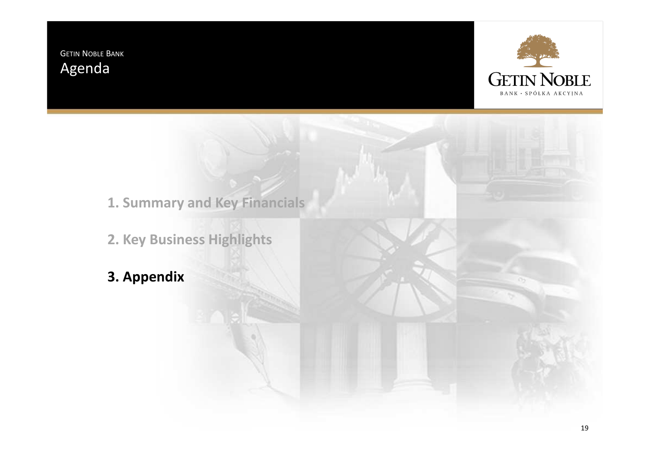GETIN <sup>N</sup>OBLE <sup>B</sup>ANK Agenda



**1. Summary and Key Financials**

**2. Key Business Highlights**

**3. Appendix**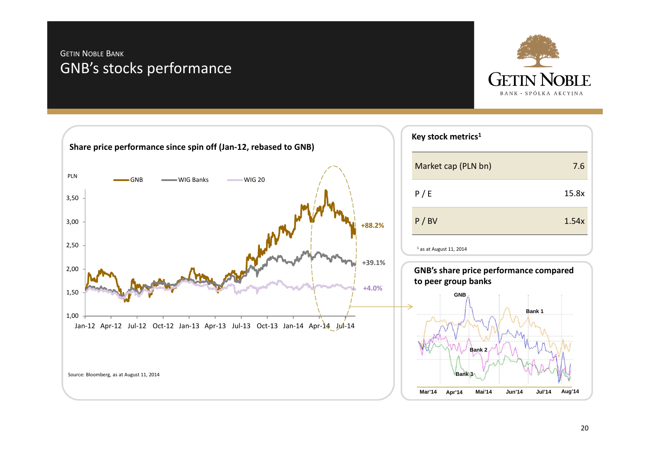## GETIN <sup>N</sup>OBLE <sup>B</sup>ANK GNB's stocks performance



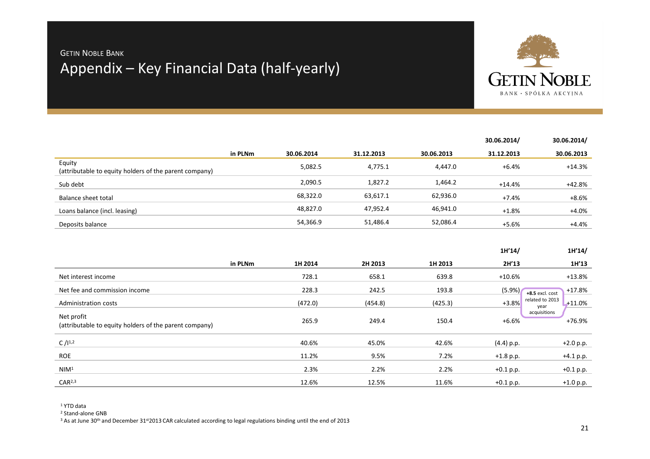# GETIN <sup>N</sup>OBLE <sup>B</sup>ANK Appendix – Key Financial Data (half-yearly)



|         |            |            |            | 30.06.2014/ | 30.06.2014/ |
|---------|------------|------------|------------|-------------|-------------|
| in PLNm | 30.06.2014 | 31.12.2013 | 30.06.2013 | 31.12.2013  | 30.06.2013  |
|         | 5,082.5    | 4,775.1    | 4,447.0    | +6.4%       | +14.3%      |
|         | 2,090.5    | 1,827.2    | 1,464.2    | $+14.4%$    | +42.8%      |
|         | 68,322.0   | 63,617.1   | 62,936.0   | +7.4%       | $+8.6%$     |
|         | 48,827.0   | 47,952.4   | 46,941.0   | $+1.8%$     | $+4.0%$     |
|         | 54,366.9   | 51,486.4   | 52,086.4   | +5.6%       | +4.4%       |
|         |            |            |            |             |             |

|                                                                      |         |         |         |         | 1H'14/                             | 1H'14/      |
|----------------------------------------------------------------------|---------|---------|---------|---------|------------------------------------|-------------|
|                                                                      | in PLNm | 1H 2014 | 2H 2013 | 1H 2013 | 2H'13                              | 1H'13       |
| Net interest income                                                  |         | 728.1   | 658.1   | 639.8   | $+10.6%$                           | $+13.8%$    |
| Net fee and commission income                                        |         | 228.3   | 242.5   | 193.8   | (5.9%)<br>+8.5 excl. cost          | +17.8%      |
| Administration costs                                                 |         | (472.0) | (454.8) | (425.3) | related to 2013<br>$+3.8%$<br>year | $+11.0%$    |
| Net profit<br>(attributable to equity holders of the parent company) |         | 265.9   | 249.4   | 150.4   | acquisitions<br>$+6.6%$            | +76.9%      |
| C $/1^{1,2}$                                                         |         | 40.6%   | 45.0%   | 42.6%   | (4.4) p.p.                         | $+2.0 p.p.$ |
| <b>ROE</b>                                                           |         | 11.2%   | 9.5%    | 7.2%    | $+1.8$ p.p.                        | $+4.1 p.p.$ |
| NIM <sup>1</sup>                                                     |         | 2.3%    | 2.2%    | 2.2%    | $+0.1 p.p.$                        | $+0.1 p.p.$ |
| CAR <sup>2,3</sup>                                                   |         | 12.6%   | 12.5%   | 11.6%   | $+0.1$ p.p.                        | $+1.0 p.p.$ |

1 YTD data

<sup>2</sup> Stand-alone GNB

<sup>3</sup> As at June 30<sup>th</sup> and December 31st2013 CAR calculated according to legal regulations binding until the end of 2013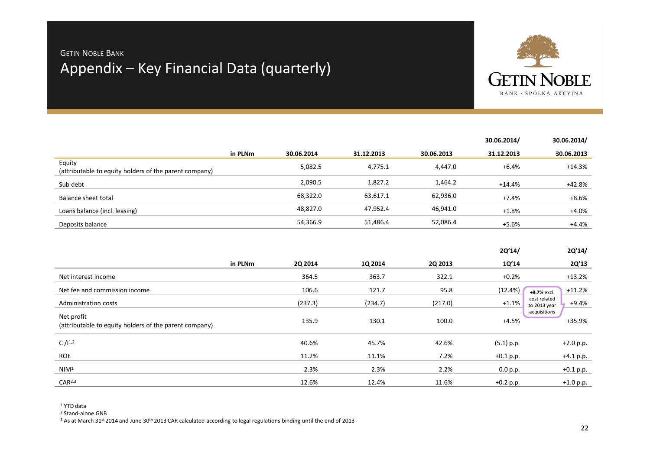# GETIN <sup>N</sup>OBLE <sup>B</sup>ANK Appendix – Key Financial Data (quarterly)



|                                                                  |         |            |            |            | 30.06.2014/ | 30.06.2014/ |
|------------------------------------------------------------------|---------|------------|------------|------------|-------------|-------------|
|                                                                  | in PLNm | 30.06.2014 | 31.12.2013 | 30.06.2013 | 31.12.2013  | 30.06.2013  |
| Equity<br>(attributable to equity holders of the parent company) |         | 5,082.5    | 4,775.1    | 4.447.0    | +6.4%       | +14.3%      |
| Sub debt                                                         |         | 2,090.5    | 1,827.2    | 1,464.2    | $+14.4%$    | +42.8%      |
| Balance sheet total                                              |         | 68,322.0   | 63,617.1   | 62,936.0   | +7.4%       | $+8.6%$     |
| Loans balance (incl. leasing)                                    |         | 48,827.0   | 47,952.4   | 46,941.0   | $+1.8%$     | $+4.0%$     |
| Deposits balance                                                 |         | 54,366.9   | 51,486.4   | 52,086.4   | +5.6%       | +4.4%       |

|                                                                      |         |         |         |                | 2Q'14/       | 2Q'14/                                  |
|----------------------------------------------------------------------|---------|---------|---------|----------------|--------------|-----------------------------------------|
|                                                                      | in PLNm | 2Q 2014 | 1Q 2014 | <b>2Q 2013</b> | 1Q'14        | 2Q'13                                   |
| Net interest income                                                  |         | 364.5   | 363.7   | 322.1          | $+0.2%$      | $+13.2%$                                |
| Net fee and commission income                                        |         | 106.6   | 121.7   | 95.8           | (12.4%)      | $+11.2%$<br>+8.7% excl.                 |
| Administration costs                                                 |         | (237.3) | (234.7) | (217.0)        | $+1.1%$      | cost related<br>$+9.4%$<br>to 2013 year |
| Net profit<br>(attributable to equity holders of the parent company) |         | 135.9   | 130.1   | 100.0          | $+4.5%$      | acquisitions<br>+35.9%                  |
| C $/1^{1,2}$                                                         |         | 40.6%   | 45.7%   | 42.6%          | $(5.1)$ p.p. | $+2.0 p.p.$                             |
| <b>ROE</b>                                                           |         | 11.2%   | 11.1%   | 7.2%           | $+0.1 p.p.$  | $+4.1 p.p.$                             |
| NIM <sup>1</sup>                                                     |         | 2.3%    | 2.3%    | 2.2%           | 0.0 p.p.     | $+0.1 p.p.$                             |
| CAR <sup>2,3</sup>                                                   |         | 12.6%   | 12.4%   | 11.6%          | $+0.2$ p.p.  | $+1.0 p.p.$                             |

1 YTD data

<sup>2</sup> Stand-alone GNB

<sup>3</sup> As at March 31st 2014 and June 30th 2013 CAR calculated according to legal regulations binding until the end of 2013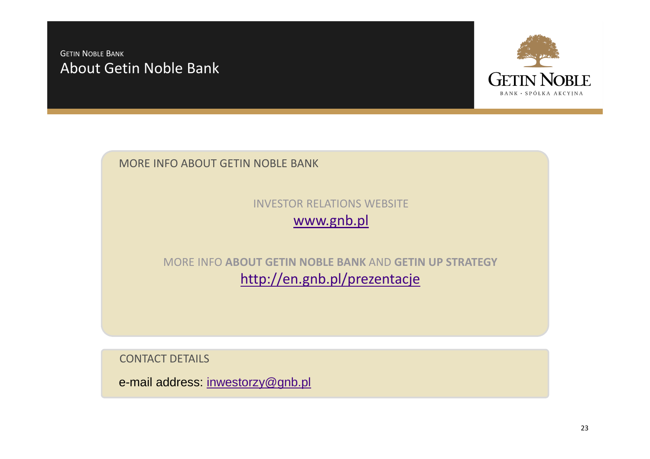## GETIN <sup>N</sup>OBLE <sup>B</sup>ANK About Getin Noble Bank



MORE INFO ABOUT GETIN NOBLE BANK

INVESTOR RELATIONS WEBSITEwww.gnb.pl

MORE INFO **ABOUT GETIN NOBLE BANK** AND **GETIN UP STRATEGY**http://en.gnb.pl/prezentacje

CONTACT DETAILS

e-mail address: inwestorzy@gnb.pl